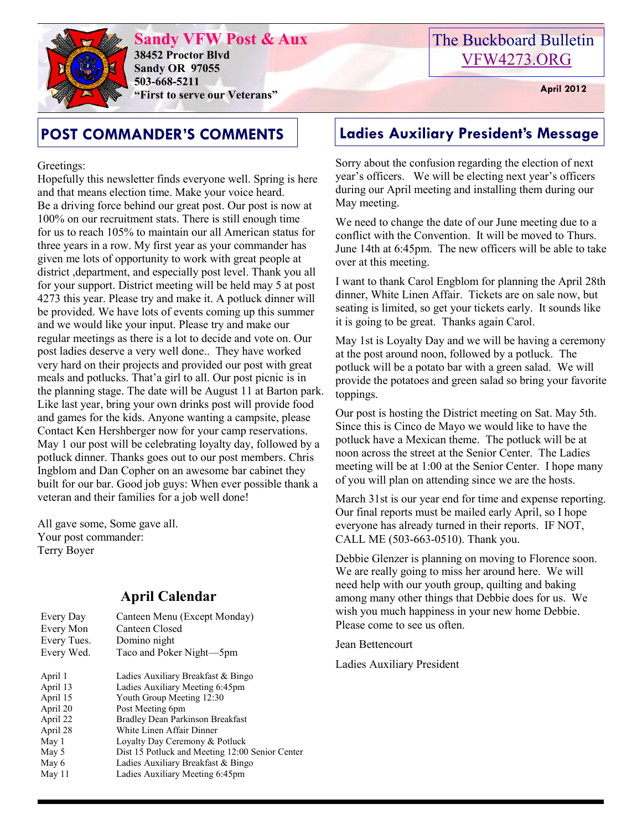

**Sandy VFW Post & Aux 38452 Proctor Blvd Sandy OR 97055 503-668-5211 "First to serve our Veterans" April 2012** 

# The Buckboard Bulletin [VFW4273.ORG](http://vfw4273.org/)

Greetings:

Hopefully this newsletter finds everyone well. Spring is here and that means election time. Make your voice heard. Be a driving force behind our great post. Our post is now at 100% on our recruitment stats. There is still enough time for us to reach 105% to maintain our all American status for three years in a row. My first year as your commander has given me lots of opportunity to work with great people at district ,department, and especially post level. Thank you all for your support. District meeting will be held may 5 at post 4273 this year. Please try and make it. A potluck dinner will be provided. We have lots of events coming up this summer and we would like your input. Please try and make our regular meetings as there is a lot to decide and vote on. Our post ladies deserve a very well done.. They have worked very hard on their projects and provided our post with great meals and potlucks. That'a girl to all. Our post picnic is in the planning stage. The date will be August 11 at Barton park. Like last year, bring your own drinks post will provide food and games for the kids. Anyone wanting a campsite, please Contact Ken Hershberger now for your camp reservations. May 1 our post will be celebrating loyalty day, followed by a potluck dinner. Thanks goes out to our post members. Chris Ingblom and Dan Copher on an awesome bar cabinet they built for our bar. Good job guys: When ever possible thank a veteran and their families for a job well done!

All gave some, Some gave all. Your post commander: Terry Boyer

## **April Calendar**

| Every Day<br>Every Mon<br>Every Tues.<br>Every Wed. | Canteen Menu (Except Monday)<br>Canteen Closed<br>Domino night<br>Taco and Poker Night-5pm |
|-----------------------------------------------------|--------------------------------------------------------------------------------------------|
| April 1                                             | Ladies Auxiliary Breakfast & Bingo                                                         |
|                                                     |                                                                                            |
| April 13                                            | Ladies Auxiliary Meeting 6:45pm                                                            |
| April 15                                            | Youth Group Meeting 12:30                                                                  |
| April 20                                            | Post Meeting 6pm                                                                           |
| April 22                                            | Bradley Dean Parkinson Breakfast                                                           |
| April 28                                            | White Linen Affair Dinner                                                                  |
| May 1                                               | Loyalty Day Ceremony & Potluck                                                             |
| May 5                                               | Dist 15 Potluck and Meeting 12:00 Senior Center                                            |
| May 6                                               | Ladies Auxiliary Breakfast & Bingo                                                         |
| May 11                                              | Ladies Auxiliary Meeting 6:45pm                                                            |
|                                                     |                                                                                            |

# **POST COMMANDER'S COMMENTS Ladies Auxiliary President's Message**

Sorry about the confusion regarding the election of next year's officers. We will be electing next year's officers during our April meeting and installing them during our May meeting.

We need to change the date of our June meeting due to a conflict with the Convention. It will be moved to Thurs. June 14th at 6:45pm. The new officers will be able to take over at this meeting.

I want to thank Carol Engblom for planning the April 28th dinner, White Linen Affair. Tickets are on sale now, but seating is limited, so get your tickets early. It sounds like it is going to be great. Thanks again Carol.

May 1st is Loyalty Day and we will be having a ceremony at the post around noon, followed by a potluck. The potluck will be a potato bar with a green salad. We will provide the potatoes and green salad so bring your favorite toppings.

Our post is hosting the District meeting on Sat. May 5th. Since this is Cinco de Mayo we would like to have the potluck have a Mexican theme. The potluck will be at noon across the street at the Senior Center. The Ladies meeting will be at 1:00 at the Senior Center. I hope many of you will plan on attending since we are the hosts.

March 31st is our year end for time and expense reporting. Our final reports must be mailed early April, so I hope everyone has already turned in their reports. IF NOT, CALL ME (503-663-0510). Thank you.

Debbie Glenzer is planning on moving to Florence soon. We are really going to miss her around here. We will need help with our youth group, quilting and baking among many other things that Debbie does for us. We wish you much happiness in your new home Debbie. Please come to see us often.

Jean Bettencourt

Ladies Auxiliary President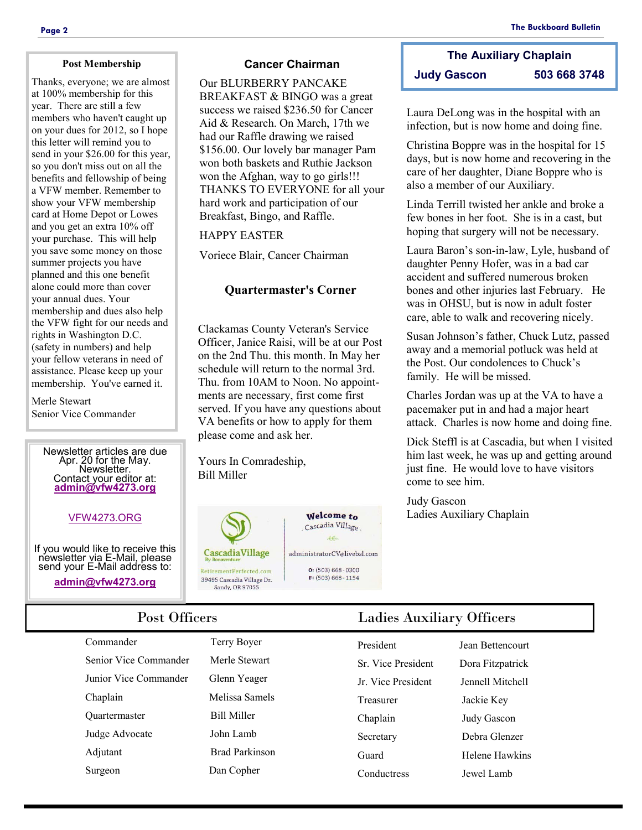### **Post Membership**

Thanks, everyone; we are almost at 100% membership for this year. There are still a few members who haven't caught up on your dues for 2012, so I hope this letter will remind you to send in your \$26.00 for this year, so you don't miss out on all the benefits and fellowship of being a VFW member. Remember to show your VFW membership card at Home Depot or Lowes and you get an extra 10% off your purchase. This will help you save some money on those summer projects you have planned and this one benefit alone could more than cover your annual dues. Your membership and dues also help the VFW fight for our needs and rights in Washington D.C. (safety in numbers) and help your fellow veterans in need of assistance. Please keep up your membership. You've earned it.

Merle Stewart Senior Vice Commander

> Newsletter articles are due Apr. 20 for the May. **Newsletter** Contact your editor at: **[admin@vfw4273.org](mailto:admin@vfw4273.org)**

## [VFW4273.ORG](http://vfw4273.org/)

If you would like to receive this newsletter via E-Mail, please send your E-Mail address to:

**[admin@vfw4273.org](mailto:admin@vfw4273.org)**

## **Cancer Chairman**

Our BLURBERRY PANCAKE BREAKFAST & BINGO was a great success we raised \$236.50 for Cancer Aid & Research. On March, 17th we had our Raffle drawing we raised \$156.00. Our lovely bar manager Pam won both baskets and Ruthie Jackson won the Afghan, way to go girls!!! THANKS TO EVERYONE for all your hard work and participation of our Breakfast, Bingo, and Raffle.

## HAPPY EASTER

Voriece Blair, Cancer Chairman

## **Quartermaster's Corner**

Clackamas County Veteran's Service Officer, Janice Raisi, will be at our Post on the 2nd Thu. this month. In May her schedule will return to the normal 3rd. Thu. from 10AM to Noon. No appointments are necessary, first come first served. If you have any questions about VA benefits or how to apply for them please come and ask her.

Yours In Comradeship, Bill Miller



Welcome to Cascadia Village  $4e$ administratorCV@livebsl.com  $O: (503) 668 - 0300$ 

 $F: (503) 668 - 1154$ 

**The Auxiliary Chaplain Judy Gascon 503 668 3748**

Laura DeLong was in the hospital with an infection, but is now home and doing fine.

Christina Boppre was in the hospital for 15 days, but is now home and recovering in the care of her daughter, Diane Boppre who is also a member of our Auxiliary.

Linda Terrill twisted her ankle and broke a few bones in her foot. She is in a cast, but hoping that surgery will not be necessary.

Laura Baron's son-in-law, Lyle, husband of daughter Penny Hofer, was in a bad car accident and suffered numerous broken bones and other injuries last February. He was in OHSU, but is now in adult foster care, able to walk and recovering nicely.

Susan Johnson's father, Chuck Lutz, passed away and a memorial potluck was held at the Post. Our condolences to Chuck's family. He will be missed.

Charles Jordan was up at the VA to have a pacemaker put in and had a major heart attack. Charles is now home and doing fine.

Dick Steffl is at Cascadia, but when I visited him last week, he was up and getting around just fine. He would love to have visitors come to see him.

Judy Gascon Ladies Auxiliary Chaplain

Commander Terry Boyer Senior Vice Commander Merle Stewart Junior Vice Commander Glenn Yeager Chaplain Melissa Samels Quartermaster Bill Miller Judge Advocate John Lamb Adjutant Brad Parkinson Surgeon Dan Copher

## Post Officers Ladies Auxiliary Officers

| President                | <b>Jean Bettencourt</b> |
|--------------------------|-------------------------|
| <b>Sr</b> Vice President | Dora Fitzpatrick        |
| Ir Vice President        | Jennell Mitchell        |
| Treasurer                | Jackie Key              |
| Chaplain                 | Judy Gascon             |
| Secretary                | Debra Glenzer           |
| Guard                    | Helene Hawkins          |
| Conductress              | <b>Lewel Lamb</b>       |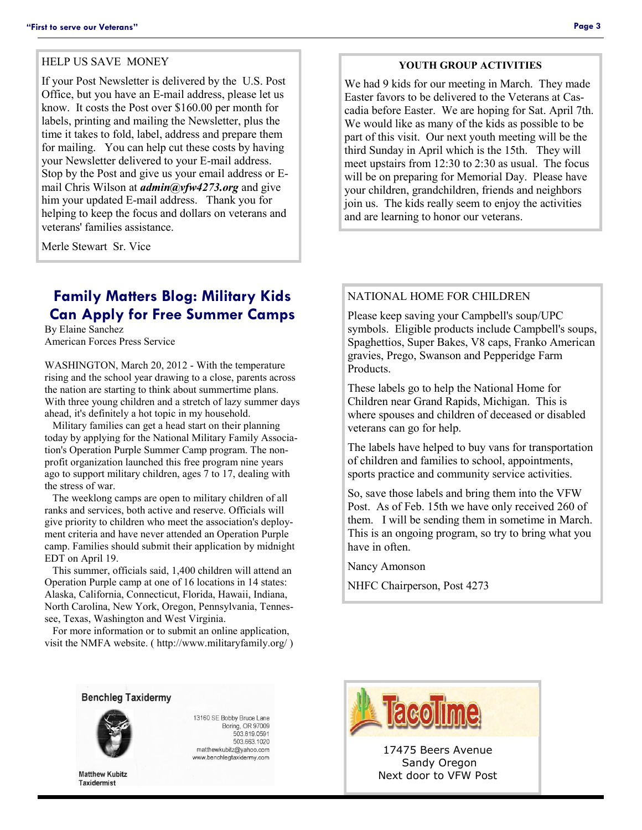### HELP US SAVE MONEY

If your Post Newsletter is delivered by the U.S. Post Office, but you have an E-mail address, please let us know. It costs the Post over \$160.00 per month for labels, printing and mailing the Newsletter, plus the time it takes to fold, label, address and prepare them for mailing. You can help cut these costs by having your Newsletter delivered to your E-mail address. Stop by the Post and give us your email address or Email Chris Wilson at *admin@vfw4273.org* and give him your updated E-mail address. Thank you for helping to keep the focus and dollars on veterans and veterans' families assistance.

Merle Stewart Sr. Vice

## **Family Matters Blog: Military Kids Can Apply for Free Summer Camps**

By Elaine Sanchez American Forces Press Service

WASHINGTON, March 20, 2012 - With the temperature rising and the school year drawing to a close, parents across the nation are starting to think about summertime plans. With three young children and a stretch of lazy summer days ahead, it's definitely a hot topic in my household.

 Military families can get a head start on their planning today by applying for the National Military Family Association's Operation Purple Summer Camp program. The nonprofit organization launched this free program nine years ago to support military children, ages 7 to 17, dealing with the stress of war.

 The weeklong camps are open to military children of all ranks and services, both active and reserve. Officials will give priority to children who meet the association's deployment criteria and have never attended an Operation Purple camp. Families should submit their application by midnight EDT on April 19.

 This summer, officials said, 1,400 children will attend an Operation Purple camp at one of 16 locations in 14 states: Alaska, California, Connecticut, Florida, Hawaii, Indiana, North Carolina, New York, Oregon, Pennsylvania, Tennessee, Texas, Washington and West Virginia.

 For more information or to submit an online application, visit the NMFA website. ( http://www.militaryfamily.org/ )

### **YOUTH GROUP ACTIVITIES**

We had 9 kids for our meeting in March. They made Easter favors to be delivered to the Veterans at Cascadia before Easter. We are hoping for Sat. April 7th. We would like as many of the kids as possible to be part of this visit. Our next youth meeting will be the third Sunday in April which is the 15th. They will meet upstairs from 12:30 to 2:30 as usual. The focus will be on preparing for Memorial Day. Please have your children, grandchildren, friends and neighbors join us. The kids really seem to enjoy the activities and are learning to honor our veterans.

### NATIONAL HOME FOR CHILDREN

Please keep saving your Campbell's soup/UPC symbols. Eligible products include Campbell's soups, Spaghettios, Super Bakes, V8 caps, Franko American gravies, Prego, Swanson and Pepperidge Farm Products.

These labels go to help the National Home for Children near Grand Rapids, Michigan. This is where spouses and children of deceased or disabled veterans can go for help.

The labels have helped to buy vans for transportation of children and families to school, appointments, sports practice and community service activities.

So, save those labels and bring them into the VFW Post. As of Feb. 15th we have only received 260 of them. I will be sending them in sometime in March. This is an ongoing program, so try to bring what you have in often.

Nancy Amonson

NHFC Chairperson, Post 4273





**Matthew Kubitz Taxidermist** 

13160 SE Bobby Bruce Lane Boring, OR 97009 503.819.0591 503.663.1020 matthewkubitz@yahoo.com www.benchlegtaxidermy.com



17475 Beers Avenue Sandy Oregon Next door to VFW Post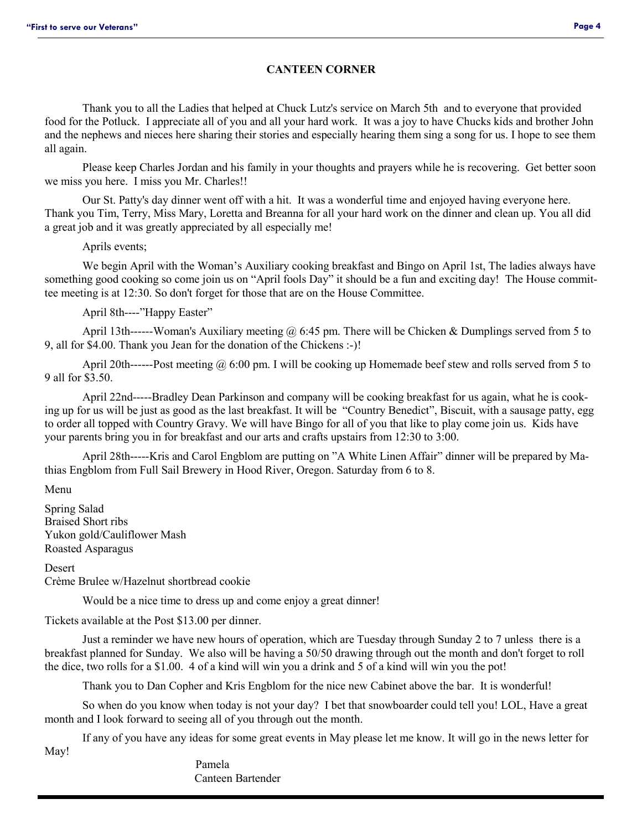## **CANTEEN CORNER**

Thank you to all the Ladies that helped at Chuck Lutz's service on March 5th and to everyone that provided food for the Potluck. I appreciate all of you and all your hard work. It was a joy to have Chucks kids and brother John and the nephews and nieces here sharing their stories and especially hearing them sing a song for us. I hope to see them all again.

Please keep Charles Jordan and his family in your thoughts and prayers while he is recovering. Get better soon we miss you here. I miss you Mr. Charles!!

Our St. Patty's day dinner went off with a hit. It was a wonderful time and enjoyed having everyone here. Thank you Tim, Terry, Miss Mary, Loretta and Breanna for all your hard work on the dinner and clean up. You all did a great job and it was greatly appreciated by all especially me!

Aprils events;

We begin April with the Woman's Auxiliary cooking breakfast and Bingo on April 1st, The ladies always have something good cooking so come join us on "April fools Day" it should be a fun and exciting day! The House committee meeting is at 12:30. So don't forget for those that are on the House Committee.

April 8th----"Happy Easter"

April 13th------Woman's Auxiliary meeting  $\omega$  6:45 pm. There will be Chicken & Dumplings served from 5 to 9, all for \$4.00. Thank you Jean for the donation of the Chickens :-)!

April 20th------Post meeting  $\omega_0$  6:00 pm. I will be cooking up Homemade beef stew and rolls served from 5 to 9 all for \$3.50.

April 22nd-----Bradley Dean Parkinson and company will be cooking breakfast for us again, what he is cooking up for us will be just as good as the last breakfast. It will be "Country Benedict", Biscuit, with a sausage patty, egg to order all topped with Country Gravy. We will have Bingo for all of you that like to play come join us. Kids have your parents bring you in for breakfast and our arts and crafts upstairs from 12:30 to 3:00.

April 28th-----Kris and Carol Engblom are putting on "A White Linen Affair" dinner will be prepared by Mathias Engblom from Full Sail Brewery in Hood River, Oregon. Saturday from 6 to 8.

Menu

Spring Salad Braised Short ribs Yukon gold/Cauliflower Mash Roasted Asparagus

**Desert** 

Crème Brulee w/Hazelnut shortbread cookie

Would be a nice time to dress up and come enjoy a great dinner!

Tickets available at the Post \$13.00 per dinner.

Just a reminder we have new hours of operation, which are Tuesday through Sunday 2 to 7 unless there is a breakfast planned for Sunday. We also will be having a 50/50 drawing through out the month and don't forget to roll the dice, two rolls for a \$1.00. 4 of a kind will win you a drink and 5 of a kind will win you the pot!

Thank you to Dan Copher and Kris Engblom for the nice new Cabinet above the bar. It is wonderful!

So when do you know when today is not your day? I bet that snowboarder could tell you! LOL, Have a great month and I look forward to seeing all of you through out the month.

If any of you have any ideas for some great events in May please let me know. It will go in the news letter for May!

> Pamela Canteen Bartender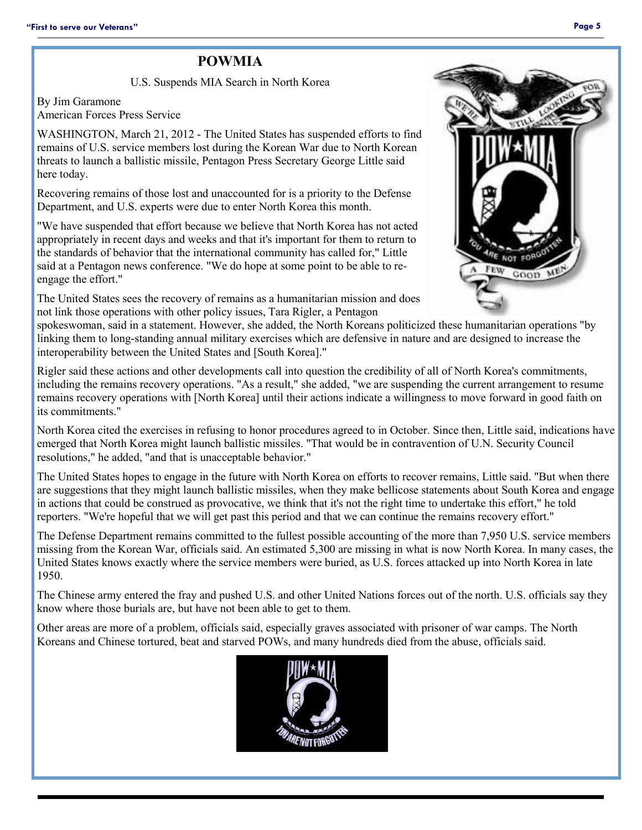## **POWMIA**

U.S. Suspends MIA Search in North Korea

By Jim Garamone American Forces Press Service

WASHINGTON, March 21, 2012 - The United States has suspended efforts to find remains of U.S. service members lost during the Korean War due to North Korean threats to launch a ballistic missile, Pentagon Press Secretary George Little said here today.

Recovering remains of those lost and unaccounted for is a priority to the Defense Department, and U.S. experts were due to enter North Korea this month.

"We have suspended that effort because we believe that North Korea has not acted appropriately in recent days and weeks and that it's important for them to return to the standards of behavior that the international community has called for," Little said at a Pentagon news conference. "We do hope at some point to be able to reengage the effort."

The United States sees the recovery of remains as a humanitarian mission and does not link those operations with other policy issues, Tara Rigler, a Pentagon



spokeswoman, said in a statement. However, she added, the North Koreans politicized these humanitarian operations "by linking them to long-standing annual military exercises which are defensive in nature and are designed to increase the interoperability between the United States and [South Korea]."

Rigler said these actions and other developments call into question the credibility of all of North Korea's commitments, including the remains recovery operations. "As a result," she added, "we are suspending the current arrangement to resume remains recovery operations with [North Korea] until their actions indicate a willingness to move forward in good faith on its commitments."

North Korea cited the exercises in refusing to honor procedures agreed to in October. Since then, Little said, indications have emerged that North Korea might launch ballistic missiles. "That would be in contravention of U.N. Security Council resolutions," he added, "and that is unacceptable behavior."

The United States hopes to engage in the future with North Korea on efforts to recover remains, Little said. "But when there are suggestions that they might launch ballistic missiles, when they make bellicose statements about South Korea and engage in actions that could be construed as provocative, we think that it's not the right time to undertake this effort," he told reporters. "We're hopeful that we will get past this period and that we can continue the remains recovery effort."

The Defense Department remains committed to the fullest possible accounting of the more than 7,950 U.S. service members missing from the Korean War, officials said. An estimated 5,300 are missing in what is now North Korea. In many cases, the United States knows exactly where the service members were buried, as U.S. forces attacked up into North Korea in late 1950.

The Chinese army entered the fray and pushed U.S. and other United Nations forces out of the north. U.S. officials say they know where those burials are, but have not been able to get to them.

Other areas are more of a problem, officials said, especially graves associated with prisoner of war camps. The North Koreans and Chinese tortured, beat and starved POWs, and many hundreds died from the abuse, officials said.